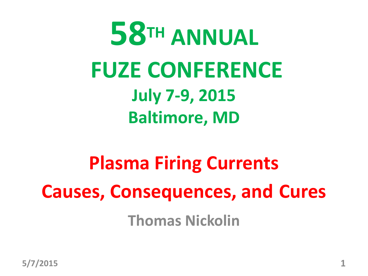

**Plasma Firing Currents Causes, Consequences, and Cures Thomas Nickolin**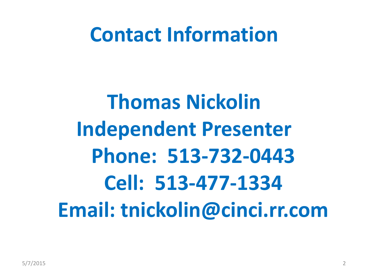#### **Contact Information**

# **Thomas Nickolin Independent Presenter Phone: 513-732-0443 Cell: 513-477-1334 Email: tnickolin@cinci.rr.com**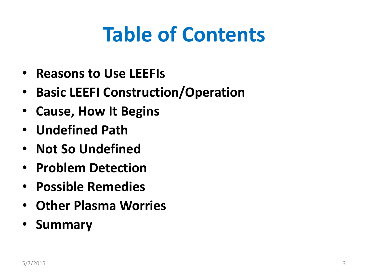# **Table of Contents**

- **Reasons to Use LEEFIs**
- **Basic LEEFI Construction/Operation**
- **Cause, How It Begins**
- **Undefined Path**
- **Not So Undefined**
- **Problem Detection**
- **Possible Remedies**
- **Other Plasma Worries**
- **Summary**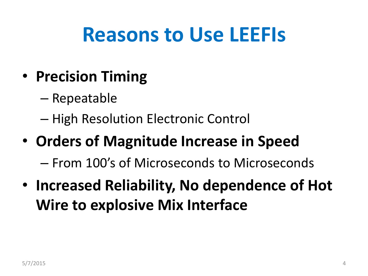#### **Reasons to Use LEEFIs**

- **Precision Timing**
	- Repeatable
	- High Resolution Electronic Control

#### • **Orders of Magnitude Increase in Speed**

– From 100's of Microseconds to Microseconds

• **Increased Reliability, No dependence of Hot Wire to explosive Mix Interface**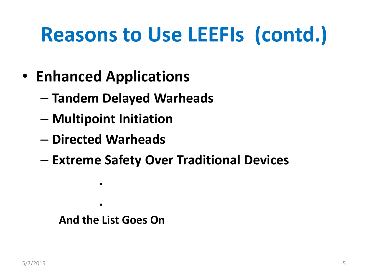# **Reasons to Use LEEFIs (contd.)**

- **Enhanced Applications**
	- **Tandem Delayed Warheads**
	- **Multipoint Initiation**
	- **Directed Warheads**

 **.**

 **.**

– **Extreme Safety Over Traditional Devices**

#### **And the List Goes On**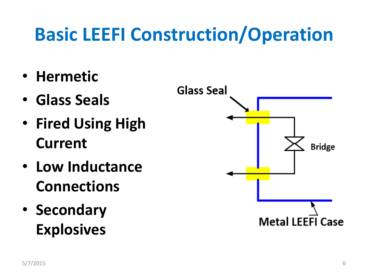#### **Basic LEEFI Construction/Operation**

- **Hermetic**
- **Glass Seals**
- **Fired Using High Current**
- **Low Inductance Connections**
- **Secondary Explosives**

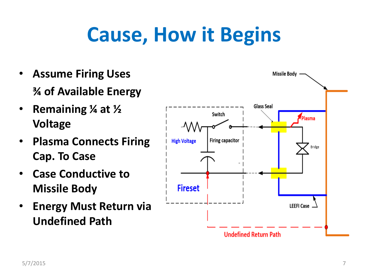# **Cause, How it Begins**

- **Assume Firing Uses ¾ of Available Energy**
- **Remaining ¼ at ½ Voltage**
- **Plasma Connects Firing Cap. To Case**
- **Case Conductive to Missile Body**
- **Energy Must Return via Undefined Path**

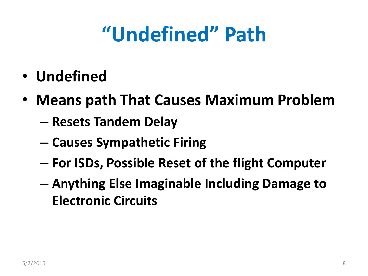# **"Undefined" Path**

- **Undefined**
- **Means path That Causes Maximum Problem**
	- **Resets Tandem Delay**
	- **Causes Sympathetic Firing**
	- **For ISDs, Possible Reset of the flight Computer**
	- **Anything Else Imaginable Including Damage to Electronic Circuits**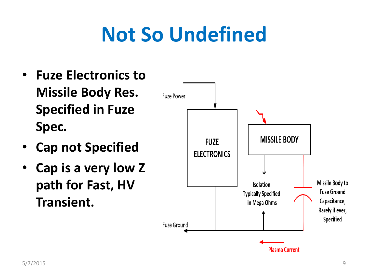# **Not So Undefined**

- **Fuze Electronics to Missile Body Res. Specified in Fuze Spec.**
- **Cap not Specified**
- **Cap is a very low Z path for Fast, HV Transient.**

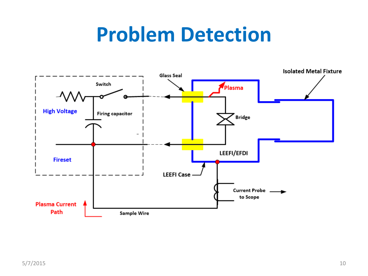#### **Problem Detection**

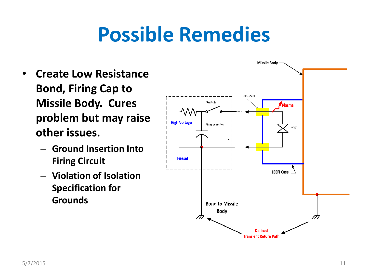### **Possible Remedies**

- **Create Low Resistance Bond, Firing Cap to Missile Body. Cures problem but may raise other issues.**
	- **Ground Insertion Into Firing Circuit**
	- **Violation of Isolation Specification for Grounds**

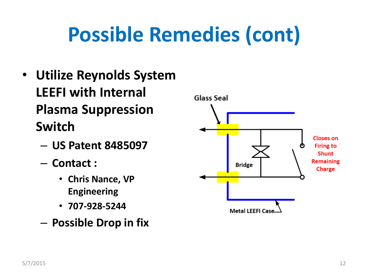# **Possible Remedies (cont)**

- **Utilize Reynolds System LEEFI with Internal Plasma Suppression Switch**
	- **US Patent 8485097**
	- **Contact :**
		- **Chris Nance, VP Engineering**
		- **707-928-5244**
	- **Possible Drop in fix**

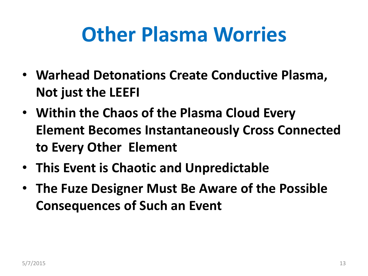## **Other Plasma Worries**

- **Warhead Detonations Create Conductive Plasma, Not just the LEEFI**
- **Within the Chaos of the Plasma Cloud Every Element Becomes Instantaneously Cross Connected to Every Other Element**
- **This Event is Chaotic and Unpredictable**
- **The Fuze Designer Must Be Aware of the Possible Consequences of Such an Event**